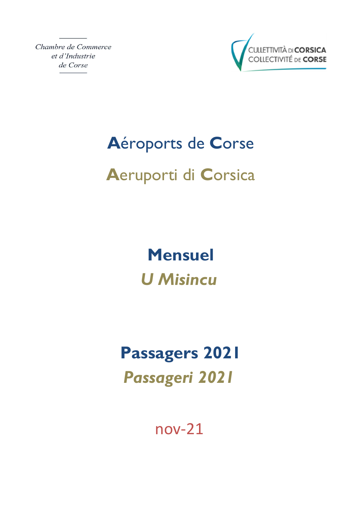Chambre de Commerce et d'Industrie de Corse



# Aéroports de Corse

# Aeruporti di Corsica

**Mensuel U Misincu** 

# **Passagers 2021 Passageri 2021**

 $nov-21$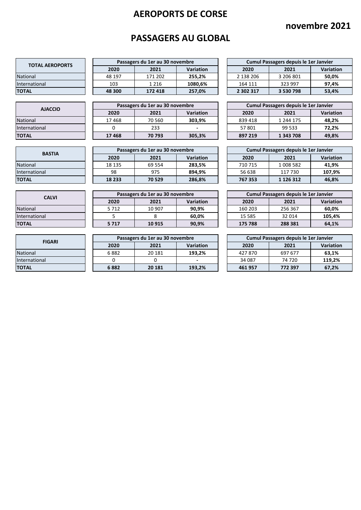## **novembre 2021**

## **PASSAGERS AU GLOBAL**

| <b>TOTAL AEROPORTS</b> |  |        | Passagers du 1er au 30 novembre |                  |           | Cumul Passagers depuis le 1er Janvier |          |
|------------------------|--|--------|---------------------------------|------------------|-----------|---------------------------------------|----------|
|                        |  | 2020   | 2021                            | <b>Variation</b> | 2020      | 2021                                  | Variatio |
| <b>National</b>        |  | 48 197 | 171 202                         | 255.2%           | 2 138 206 | 3 206 801                             | 50,0%    |
| International          |  | 103    | 1 2 1 6                         | 1080.6%          | 164 111   | 323 997                               | 97.4%    |
| <b>TOTAL</b>           |  | 48 300 | 172 418                         | 257.0%           | 2 302 317 | 3 530 798                             | 53,4%    |

 $\overline{\phantom{a}}$ 

| <b>AJACCIO</b> |  |       | Passagers du 1er au 30 novembre |           |         | Cumul Passagers depuis le 1er Janvier |          |
|----------------|--|-------|---------------------------------|-----------|---------|---------------------------------------|----------|
|                |  | 2020  | 2021                            | Variation | 2020    | 2021                                  | Variatio |
| National       |  | 17468 | 70 560                          | 303.9%    | 839418  | 1 244 175                             | 48.2%    |
| International  |  |       | 233                             |           | 57801   | 99 533                                | 72.2%    |
| TOTAL          |  | 17468 | 70793                           | 305,3%    | 897 219 | 1 343 708                             | 49,8%    |

| <b>BASTIA</b> |  | Passagers du 1er au 30 novembre |         |                  |  |         | Cumul Passagers depuis le 1er Janvier |                 |
|---------------|--|---------------------------------|---------|------------------|--|---------|---------------------------------------|-----------------|
|               |  | 2020                            | 2021    | <b>Variation</b> |  | 2020    | 2021                                  | <b>Variatio</b> |
| National      |  | 18 135                          | 69 5 54 | 283,5%           |  | 710 715 | 1 008 582                             | 41.9%           |
| International |  | 98                              | 975     | 894.9%           |  | 56 638  | 117 730                               | 107.9%          |
| TOTAL         |  | 18 233                          | 70529   | 286,8%           |  | 767 353 | 1 1 2 6 3 1 2                         | 46,8%           |

| <b>CALVI</b>  |  | Passagers du 1er au 30 novembre |        |                  |  |          | Cumul Passagers depuis le 1er Janvier |                 |
|---------------|--|---------------------------------|--------|------------------|--|----------|---------------------------------------|-----------------|
|               |  | 2020                            | 2021   | <b>Variation</b> |  | 2020     | 2021                                  | <b>Variatio</b> |
| National      |  | 5 7 1 2                         | 10 907 | 90.9%            |  | 160 203  | 256 367                               | 60.0%           |
| International |  |                                 |        | 60,0%            |  | 15 5 8 5 | 32 014                                | 105.4%          |
| ΤΟΤΑL         |  | 5717                            | 10915  | 90,9%            |  | 175 788  | 288 381                               | 64,1%           |

| <b>FIGARI</b> |  | Passagers du 1er au 30 novembre |         |                  |  |        | Cumul Passagers depuis le 1er Janvier |                 |
|---------------|--|---------------------------------|---------|------------------|--|--------|---------------------------------------|-----------------|
|               |  | 2020                            | 2021    | <b>Variation</b> |  | 2020   | 2021                                  | <b>Variatio</b> |
| National      |  | 6882                            | 20 181  | 193,2%           |  | 427870 | 697 677                               | 63,1%           |
| International |  |                                 |         |                  |  | 34 087 | 74 720                                | 119.2%          |
| ΤΟΤΑL         |  | 6882                            | 20 18 1 | 193,2%           |  | 461957 | 772 397                               | 67,2%           |

| Passagers du 1er au 30 novembre |         |           |  |           | Cumul Passagers depuis le 1er Janvier |           |
|---------------------------------|---------|-----------|--|-----------|---------------------------------------|-----------|
| 2020                            | 2021    | Variation |  | 2020      | 2021                                  | Variation |
| 18 197                          | 171 202 | 255.2%    |  | 2 138 206 | 3 206 801                             | 50.0%     |
| 103                             | 1 2 1 6 | 1080,6%   |  | 164 111   | 323 997                               | 97.4%     |
| 8300                            | 172 418 | 257,0%    |  | 2 302 317 | 3 530 798                             | 53,4%     |

| Passagers du 1er au 30 novembre |        |           |  |         | Cumul Passagers depuis le 1er Janvier |           |
|---------------------------------|--------|-----------|--|---------|---------------------------------------|-----------|
| 2020                            | 2021   | Variation |  | 2020    | 2021                                  | Variation |
| .7468                           | 70 560 | 303.9%    |  | 839 418 | 1 244 175                             | 48.2%     |
|                                 | 233    |           |  | 57801   | 99 533                                | 72.2%     |
| .7468                           | 70793  | 305,3%    |  | 897 219 | 1 343 708                             | 49,8%     |

| Passagers du 1er au 30 novembre |         |           |  | Cumul Passagers depuis le 1er Janvier |               |           |  |  |
|---------------------------------|---------|-----------|--|---------------------------------------|---------------|-----------|--|--|
| 2020                            | 2021    | Variation |  | 2020                                  | 2021          | Variation |  |  |
| .8 135                          | 69 5 54 | 283,5%    |  | 710 715                               | 1 008 582     | 41.9%     |  |  |
| 98                              | 975     | 894,9%    |  | 56 638                                | 117 730       | 107.9%    |  |  |
| 8 2 3 3                         | 70 529  | 286,8%    |  | 767 353                               | 1 1 2 6 3 1 2 | 46,8%     |  |  |

| Passagers du 1er au 30 novembre |        |                  |  | Cumul Passagers depuis le 1er Janvier |         |           |  |  |
|---------------------------------|--------|------------------|--|---------------------------------------|---------|-----------|--|--|
| 2020                            | 2021   | <b>Variation</b> |  | 2020                                  | 2021    | Variation |  |  |
| 5 712                           | 10 907 | 90.9%            |  | 160 203                               | 256 367 | 60.0%     |  |  |
|                                 |        | 60.0%            |  | 15 5 8 5                              | 32 014  | 105.4%    |  |  |
| 5 717                           | 10915  | 90.9%            |  | 175 788                               | 288 381 | 64.1%     |  |  |

| Passagers du 1er au 30 novembre |         |           |  |        | Cumul Passagers depuis le 1er Janvier |           |
|---------------------------------|---------|-----------|--|--------|---------------------------------------|-----------|
| 2020                            | 2021    | Variation |  | 2020   | 2021                                  | Variation |
| 6 882                           | 20 181  | 193.2%    |  | 427870 | 697 677                               | 63.1%     |
|                                 |         | -         |  | 34 087 | 74 720                                | 119.2%    |
| 6 882                           | 20 18 1 | 193,2%    |  | 461957 | 772 397                               | 67.2%     |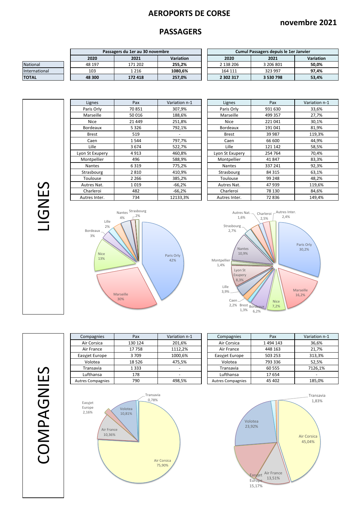#### **novembre 2021**

#### **PASSAGERS**

|                 | Passagers du 1er au 30 novembre |        |         |                  |           | Cumul Passagers depuis le 1er Janvier |           |
|-----------------|---------------------------------|--------|---------|------------------|-----------|---------------------------------------|-----------|
|                 |                                 | 2020   | 2021    | <b>Variation</b> | 2020      | 2021                                  | Variation |
| <b>National</b> |                                 | 48 197 | 171 202 | 255.2%           | 2 138 206 | 3 206 801                             | 50.0%     |
| International   |                                 | 103    | 1 2 1 6 | 1080.6%          | 164 111   | 323 997                               | 97,4%     |
| <b>TOTAL</b>    |                                 | 48 300 | 172 418 | 257,0%           | 2 302 317 | 3 530 798                             | 53,4%     |

| Cumul Passagers depuis le 1er Janvier |                  |       |  |  |  |  |  |  |
|---------------------------------------|------------------|-------|--|--|--|--|--|--|
| 2020                                  | <b>Variation</b> |       |  |  |  |  |  |  |
| 2 138 206                             | 3 206 801        | 50,0% |  |  |  |  |  |  |
| 164 111                               | 323 997          | 97.4% |  |  |  |  |  |  |
| 2 302 317                             | 3 530 798        | 53,4% |  |  |  |  |  |  |

Lignes Pax Variation n-1<br>
Paris Orly 70 851 307,9% Lyon St Exupery 4913 460,8% Montpellier | 496 | 588,9% | | Montpellier | 41 847 | 83,3% Autres Inter. 734 12133,3% Autres Inter. 72 836 149,4%

| Pax      | Variation n-1 | Lignes          | Pax     | Variation n-1 |
|----------|---------------|-----------------|---------|---------------|
| 70851    | 307,9%        | Paris Orly      | 931 630 | 33,6%         |
| 50 016   | 188,6%        | Marseille       | 499 357 | 27,7%         |
| 21 4 4 9 | 251,8%        | <b>Nice</b>     | 221041  | 30,1%         |
| 5 3 2 6  | 792,1%        | <b>Bordeaux</b> | 191 041 | 81,9%         |
| 519      |               | <b>Brest</b>    | 39 987  | 119,3%        |
| 1544     | 797,7%        | Caen            | 66 600  | 44,9%         |
| 3674     | 522,7%        | Lille           | 121 142 | 58,5%         |
| 4913     | 460.8%        | Lyon St Exupery | 254 764 | 70,4%         |
| 496      | 588,9%        | Montpellier     | 41847   | 83,3%         |
| 6319     | 775,2%        | <b>Nantes</b>   | 337 241 | 92,3%         |
| 2810     | 410,9%        | Strasbourg      | 84 315  | 63,1%         |
| 2 2 6 6  | 385,2%        | Toulouse        | 99 248  | 48,2%         |
| 1019     | $-66,2%$      | Autres Nat.     | 47939   | 119,6%        |
| 482      | $-66,2%$      | Charleroi       | 78 130  | 84,6%         |
| 734      | 12133,3%      | Autres Inter.   | 72836   | 149,4%        |
|          |               |                 |         |               |





COMPAGNIES COMPAGNIES

LIGNES

| Compagnies               | Pax     | Variation n-1 | Compagnies               | Pax     | Variation |
|--------------------------|---------|---------------|--------------------------|---------|-----------|
| Air Corsica              | 130 124 | 201,6%        | Air Corsica              | 1494143 | 36,6%     |
| Air France               | 17758   | 1112,2%       | Air France               | 448 163 | 21,7%     |
| Easyjet Europe           | 3709    | 1000,6%       | Easyjet Europe           | 503 253 | 313,3%    |
| Volotea                  | 18526   | 475,5%        | Volotea                  | 793 336 | 52,5%     |
| Transavia                | 1 3 3 3 |               | Transavia                | 60 555  | 7126,19   |
| Lufthansa                | 178     |               | Lufthansa                | 17654   |           |
| <b>Autres Compagnies</b> | 790     | 498,5%        | <b>Autres Compagnies</b> | 45 402  | 185,0%    |
|                          |         |               |                          |         |           |

| Compagnies      | Pax     | Variation n-1            | Compagnies               | Pax       | Variation n-1 |
|-----------------|---------|--------------------------|--------------------------|-----------|---------------|
| Air Corsica     | 130 124 | 201,6%                   | Air Corsica              | 1 494 143 | 36,6%         |
| Air France      | 17758   | 1112.2%                  | Air France               | 448 163   | 21,7%         |
| asyjet Europe   | 3709    | 1000,6%                  | Easyjet Europe           | 503 253   | 313,3%        |
| Volotea         | 18 5 26 | 475.5%                   | Volotea                  | 793 336   | 52,5%         |
| Transavia       | 1 3 3 3 | $\overline{\phantom{a}}$ | Transavia                | 60 555    | 7126.1%       |
| Lufthansa       | 178     |                          | Lufthansa                | 17 654    |               |
| tres Compagnies | 790     | 498.5%                   | <b>Autres Compagnies</b> | 45 402    | 185.0%        |



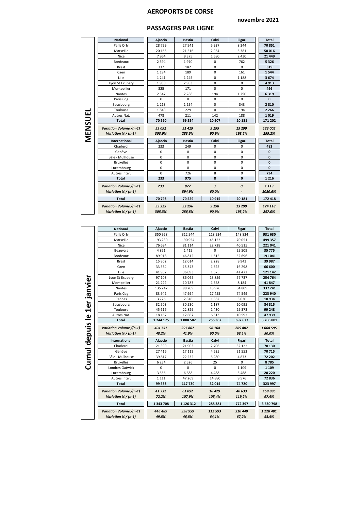#### **novembre 2021**

| <b>PASSAGERS PAR LIGNE</b> |  |
|----------------------------|--|
|----------------------------|--|

|         | <b>National</b>                     | Ajaccio    | <b>Bastia</b> | Calvi                   | <b>Figari</b>    | <b>Total</b>        |
|---------|-------------------------------------|------------|---------------|-------------------------|------------------|---------------------|
|         | Paris Orly                          | 28729      | 27941         | 5937                    | 8 2 4 4          | 70851               |
|         | Marseille                           | 20 165     | 21516         | 2954                    | 5 3 8 1          | 50 016              |
|         | Nice                                | 7964       | 9375          | 1680                    | 2 4 3 0          | 21 4 4 9            |
|         | Bordeaux                            | 2 5 9 4    | 1970          | 0                       | 762              | 5326                |
|         | <b>Brest</b>                        | 337<br>182 |               | 0                       | $\Omega$         | 519                 |
|         | Caen                                | 1 1 9 4    | 189           | 0                       | 161              | 1544                |
|         | Lille                               | 1 2 4 1    | 1 2 4 5       | 0                       | 1 1 8 8          | 3674                |
|         | Lyon St Exupery                     | 1930       | 2983          | 0                       | 0                | 4913                |
|         | Montpellier                         | 325        | 171           | 0                       | 0                | 496                 |
|         | Nantes                              | 2 5 4 7    | 2 2 8 8       | 194                     | 1 2 9 0          | 6319                |
|         | Paris Cdg                           | 0          | 0             | $\mathbf 0$             | $\mathbf 0$      | $\mathbf{0}$        |
|         | Strasbourg                          | 1 2 1 3    | 1 2 5 4       | 0                       | 343              | 2810                |
|         | Toulouse                            | 1843       | 229           | $\Omega$                | 194              | 2 2 6 6             |
| MENSUEI | Autres Nat.                         | 478        | 211           | 142                     | 188              | 1019                |
|         | <b>Total</b>                        | 70 560     | 69 554        | 10 907                  | 20 18 1          | 171 202             |
|         | Variation Volume /(n-1)             | 53 092     | 51 419        | 5 1 9 5                 | 13 299           | 123 005             |
|         |                                     |            |               |                         |                  |                     |
|         | Variation % / (n-1)                 | 303,9%     | 283,5%        | 90,9%                   | 193,2%           | 255,2%              |
|         |                                     |            |               |                         |                  |                     |
|         | International                       | Ajaccio    | <b>Bastia</b> | Calvi                   | Figari           | <b>Total</b>        |
|         | Charleroi<br>Genève                 | 233<br>0   | 249           | 0<br>0                  | $\mathbf 0$<br>0 | 482<br>$\mathbf{0}$ |
|         |                                     | 0          | 0<br>0        | $\Omega$                | $\Omega$         | $\mathbf{0}$        |
|         | Bâle - Mulhouse<br><b>Bruxelles</b> | 0          | 0             | 0                       | 0                | $\mathbf{0}$        |
|         | Luxembourg                          | 0          | 0             | 0                       | 0                | $\mathbf{0}$        |
|         | Autres Inter.                       | 0          | 726           | 8                       | 0                | 734                 |
|         | <b>Total</b>                        | 233        | 975           | 8                       | $\mathbf{0}$     | 1 2 1 6             |
|         |                                     |            |               |                         |                  |                     |
|         | Variation Volume /(n-1)             | 233        | 877           | $\overline{\mathbf{3}}$ | 0                | 1 1 1 3             |
|         | Variation % / (n-1)                 |            | 894,9%        | 60,0%                   |                  | 1080,6%             |
|         | <b>Total</b>                        | 70793      | 70 529        | 10 915                  | 20 18 1          | 172 418             |
|         | Variation Volume /(n-1)             | 53 325     | 52 296        | 5 1 9 8                 | 13 299           | 124 118             |

|              | <b>National</b>                                | Ajaccio   | <b>Bastia</b> | Calvi    | <b>Figari</b> | <b>Total</b> |
|--------------|------------------------------------------------|-----------|---------------|----------|---------------|--------------|
|              | Paris Orly                                     | 350928    | 312 944       | 118 934  | 148 824       | 931 630      |
|              | Marseille                                      | 193 230   | 190 954       | 45 122   | 70 051        | 499 357      |
|              | Nice                                           | 76 684    | 81 114        | 22728    | 40 5 15       | 221 041      |
|              | Beauvais                                       | 4851      | 1415          | 0        | 29 509        | 35 775       |
|              | Bordeaux                                       | 89 918    | 46 812        | 1615     | 52 696        | 191 041      |
|              | <b>Brest</b>                                   | 15 802    | 12014         | 2 2 2 8  | 9943          | 39 987       |
|              | Caen                                           | 33 334    | 15 343        | 1625     | 16 298        | 66 600       |
|              | Lille                                          | 41 902    | 36 093        | 1675     | 41 472        | 121 142      |
|              | Lyon St Exupery                                | 97 103    | 86 065        | 13 859   | 57737         | 254 764      |
|              | Montpellier                                    | 21 2 2 2  | 10783         | 1658     | 8 1 8 4       | 41847        |
|              | Nantes                                         | 135 247   | 98 209        | 18 976   | 84 809        | 337 241      |
|              | Paris Cdg                                      | 83 942    | 47 994        | 17 455   | 74 549        | 223 940      |
|              | Rennes                                         | 3726      | 2816          | 1362     | 3 0 3 0       | 10934        |
| 1er janvier  | Strasbourg                                     | 32 503    | 30 530        | 1 1 8 7  | 20 095        | 84 315       |
|              | Toulouse                                       | 45 616    | 22829         | 1430     | 29 373        | 99 248       |
| ≗            | Autres Nat.                                    | 18 167    | 12 667        | 6513     | 10 5 92       | 47939        |
|              | <b>Total</b>                                   | 1 244 175 | 1008582       | 256 367  | 697 677       | 3 206 801    |
|              | Variation Volume /(n-1)                        | 404 757   | 297867        | 96 164   | 269 807       | 1068 595     |
|              |                                                |           |               |          |               |              |
|              | Variation % / (n-1)                            | 48,2%     | 41,9%         | 60,0%    | 63,1%         | 50,0%        |
|              | International                                  | Ajaccio   | <b>Bastia</b> | Calvi    | <b>Figari</b> | <b>Total</b> |
|              | Charleroi                                      | 21 3 9 9  | 21 903        | 2706     | 32 122        | 78 130       |
|              | Genève                                         | 27 4 16   | 17 112        | 4635     | 21 5 52       | 70715        |
|              | Bâle - Mulhouse                                | 39 817    | 22 2 32       | 5 2 8 0  | 4873          | 72 202       |
|              | <b>Bruxelles</b>                               | 6 2 3 4   | 2 5 2 6       | 25       | 0             | 8785         |
| Cumul depuis | Londres Gatwick                                | $\Omega$  | 0             | $\Omega$ | 1 1 0 9       | 1 1 0 9      |
|              | Luxembourg                                     | 3 5 5 6   | 6688          | 4488     | 5 4 8 8       | 20 220       |
|              | Autres Inter.                                  | 1 1 1 1   | 47 269        | 14 8 8 0 | 9576          | 72836        |
|              | <b>Total</b>                                   | 99 533    | 117 730       | 32 014   | 74720         | 323 997      |
|              |                                                | 41 732    | 61 092        | 16429    | 40 633        | 159886       |
|              | Variation Volume /(n-1)<br>Variation % / (n-1) | 72,2%     | 107,9%        | 105,4%   | 119,2%        | 97,4%        |
|              | <b>Total</b>                                   | 1 343 708 | 1 126 312     | 288 381  | 772 397       | 3 530 798    |
|              | Variation Volume /(n-1)                        | 446 489   | 358 959       | 112 593  | 310 440       | 1 228 481    |